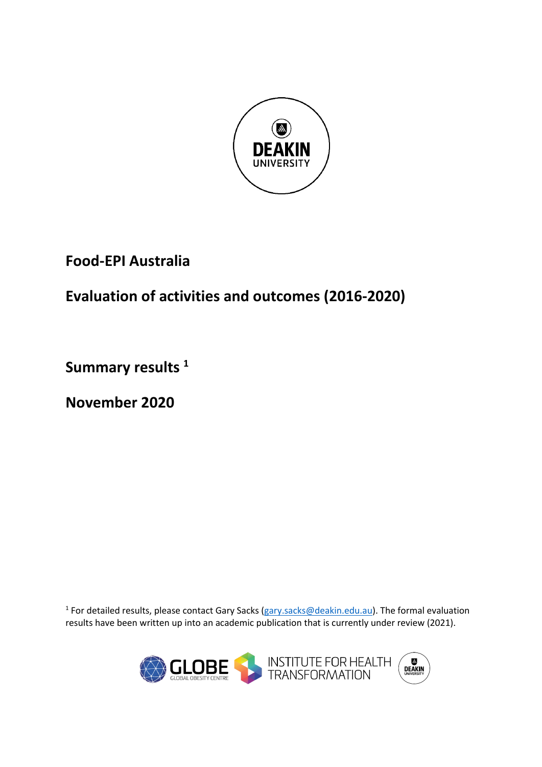

## **Food-EPI Australia**

# **Evaluation of activities and outcomes (2016-2020)**

**Summary results 1**

**November 2020**

<sup>1</sup> For detailed results, please contact Gary Sacks [\(gary.sacks@deakin.edu.au\)](mailto:gary.sacks@deakin.edu.au). The formal evaluation results have been written up into an academic publication that is currently under review (2021).

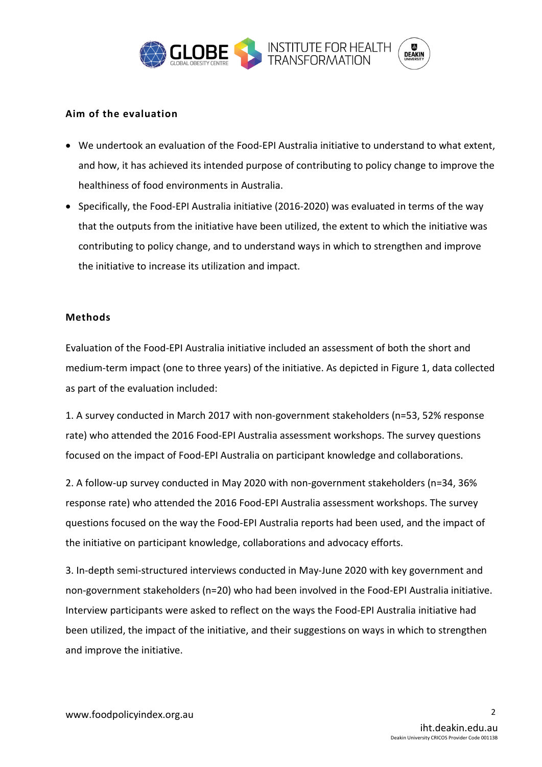

## **Aim of the evaluation**

- We undertook an evaluation of the Food-EPI Australia initiative to understand to what extent, and how, it has achieved its intended purpose of contributing to policy change to improve the healthiness of food environments in Australia.
- Specifically, the Food-EPI Australia initiative (2016-2020) was evaluated in terms of the way that the outputs from the initiative have been utilized, the extent to which the initiative was contributing to policy change, and to understand ways in which to strengthen and improve the initiative to increase its utilization and impact.

### **Methods**

Evaluation of the Food-EPI Australia initiative included an assessment of both the short and medium-term impact (one to three years) of the initiative. As depicted in Figure 1, data collected as part of the evaluation included:

1. A survey conducted in March 2017 with non-government stakeholders (n=53, 52% response rate) who attended the 2016 Food-EPI Australia assessment workshops. The survey questions focused on the impact of Food-EPI Australia on participant knowledge and collaborations.

2. A follow-up survey conducted in May 2020 with non-government stakeholders (n=34, 36% response rate) who attended the 2016 Food-EPI Australia assessment workshops. The survey questions focused on the way the Food-EPI Australia reports had been used, and the impact of the initiative on participant knowledge, collaborations and advocacy efforts.

3. In-depth semi-structured interviews conducted in May-June 2020 with key government and non-government stakeholders (n=20) who had been involved in the Food-EPI Australia initiative. Interview participants were asked to reflect on the ways the Food-EPI Australia initiative had been utilized, the impact of the initiative, and their suggestions on ways in which to strengthen and improve the initiative.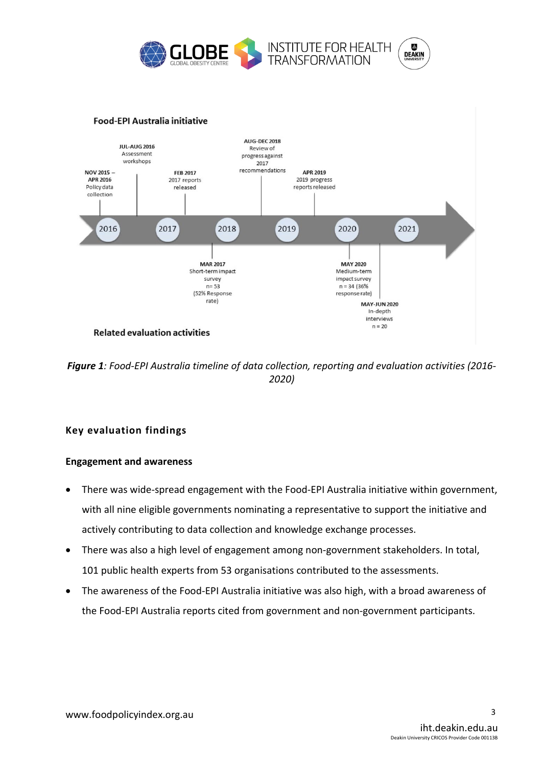

#### **Food-EPI Australia initiative**



*Figure 1: Food-EPI Australia timeline of data collection, reporting and evaluation activities (2016- 2020)*

## **Key evaluation findings**

#### **Engagement and awareness**

- There was wide-spread engagement with the Food-EPI Australia initiative within government, with all nine eligible governments nominating a representative to support the initiative and actively contributing to data collection and knowledge exchange processes.
- There was also a high level of engagement among non-government stakeholders. In total, 101 public health experts from 53 organisations contributed to the assessments.
- The awareness of the Food-EPI Australia initiative was also high, with a broad awareness of the Food-EPI Australia reports cited from government and non-government participants.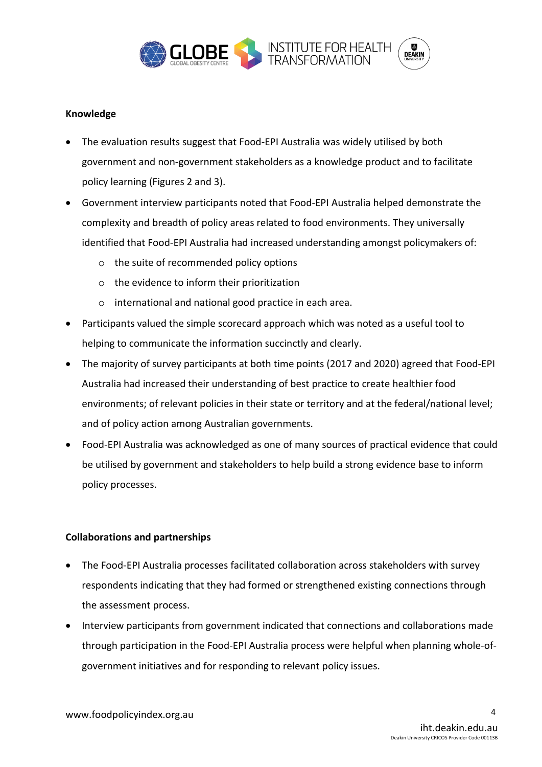

## **Knowledge**

- The evaluation results suggest that Food-EPI Australia was widely utilised by both government and non-government stakeholders as a knowledge product and to facilitate policy learning (Figures 2 and 3).
- Government interview participants noted that Food-EPI Australia helped demonstrate the complexity and breadth of policy areas related to food environments. They universally identified that Food-EPI Australia had increased understanding amongst policymakers of:
	- o the suite of recommended policy options
	- o the evidence to inform their prioritization
	- o international and national good practice in each area.
- Participants valued the simple scorecard approach which was noted as a useful tool to helping to communicate the information succinctly and clearly.
- The majority of survey participants at both time points (2017 and 2020) agreed that Food-EPI Australia had increased their understanding of best practice to create healthier food environments; of relevant policies in their state or territory and at the federal/national level; and of policy action among Australian governments.
- Food-EPI Australia was acknowledged as one of many sources of practical evidence that could be utilised by government and stakeholders to help build a strong evidence base to inform policy processes.

## **Collaborations and partnerships**

- The Food-EPI Australia processes facilitated collaboration across stakeholders with survey respondents indicating that they had formed or strengthened existing connections through the assessment process.
- Interview participants from government indicated that connections and collaborations made through participation in the Food-EPI Australia process were helpful when planning whole-ofgovernment initiatives and for responding to relevant policy issues.

4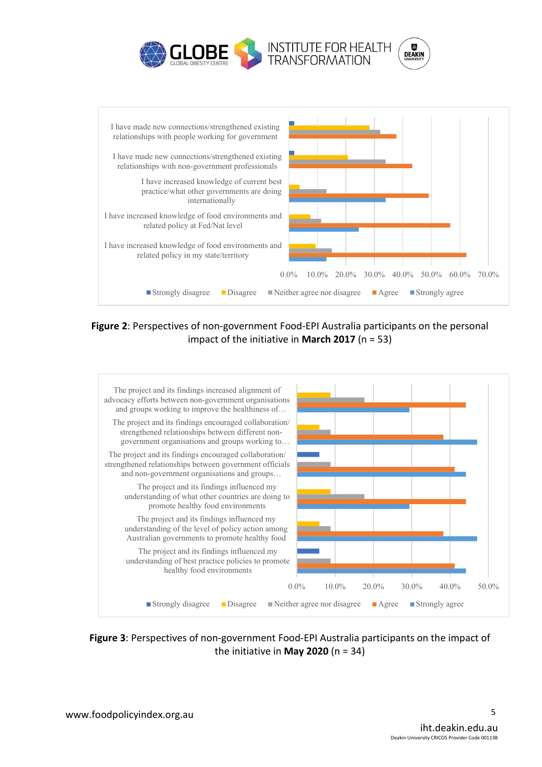



**Figure 2**: Perspectives of non-government Food-EPI Australia participants on the personal impact of the initiative in **March 2017** (n = 53)



**Figure 3**: Perspectives of non-government Food-EPI Australia participants on the impact of the initiative in **May 2020** (n = 34)

5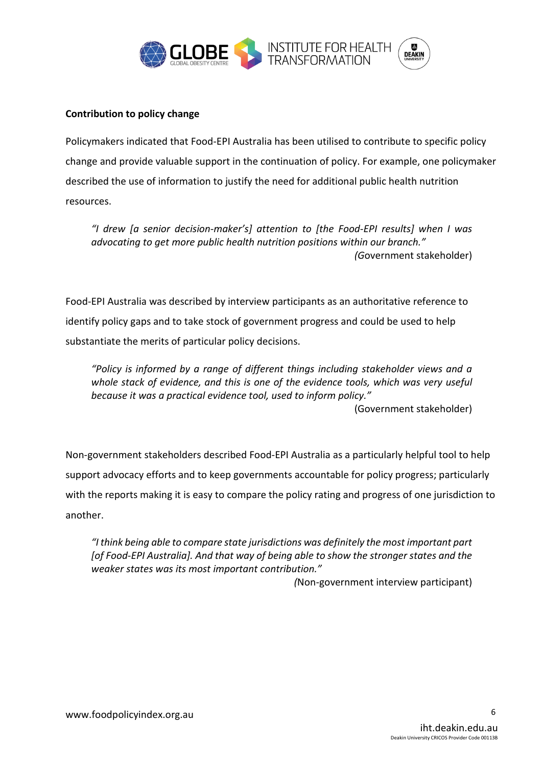

## **Contribution to policy change**

Policymakers indicated that Food-EPI Australia has been utilised to contribute to specific policy change and provide valuable support in the continuation of policy. For example, one policymaker described the use of information to justify the need for additional public health nutrition resources.

*"I drew [a senior decision-maker's] attention to [the Food-EPI results] when I was advocating to get more public health nutrition positions within our branch." (G*overnment stakeholder)

Food-EPI Australia was described by interview participants as an authoritative reference to identify policy gaps and to take stock of government progress and could be used to help substantiate the merits of particular policy decisions.

*"Policy is informed by a range of different things including stakeholder views and a whole stack of evidence, and this is one of the evidence tools, which was very useful because it was a practical evidence tool, used to inform policy."* (Government stakeholder)

Non-government stakeholders described Food-EPI Australia as a particularly helpful tool to help support advocacy efforts and to keep governments accountable for policy progress; particularly with the reports making it is easy to compare the policy rating and progress of one jurisdiction to another.

*"I think being able to compare state jurisdictions was definitely the most important part [of Food-EPI Australia]. And that way of being able to show the stronger states and the weaker states was its most important contribution."* 

*(*Non-government interview participant)